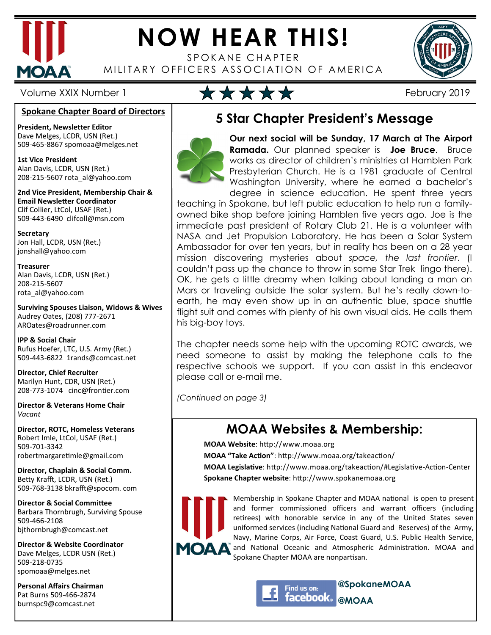

# **NOW HEAR THIS!**

SPOKANE CHAPTER MILITARY OFFICERS ASSOCIATION OF AMERICA



# Volume XXIX Number 1  $\star \star \star \star \star$

#### **Spokane Chapter Board of Directors**

**President, Newsletter Editor**  Dave Melges, LCDR, USN (Ret.) 509-465-8867 spomoaa@melges.net

**1st Vice President**  Alan Davis, LCDR, USN (Ret.) 208-215-5607 rota\_al@yahoo.com

**2nd Vice President, Membership Chair & Email Newsletter Coordinator** Clif Collier, LtCol, USAF (Ret.) 509-443-6490 clifcoll@msn.com

**Secretary**  Jon Hall, LCDR, USN (Ret.) jonshall@yahoo.com

**Treasurer**  Alan Davis, LCDR, USN (Ret.) 208-215-5607 rota\_al@yahoo.com

**Surviving Spouses Liaison, Widows & Wives**  Audrey Oates, (208) 777-2671 AROates@roadrunner.com

**IPP & Social Chair**  Rufus Hoefer, LTC, U.S. Army (Ret.) 509-443-6822 1rands@comcast.net

**Director, Chief Recruiter**  Marilyn Hunt, CDR, USN (Ret.) 208-773-1074 cinc@frontier.com

**Director & Veterans Home Chair**  *Vacant* 

**Director, ROTC, Homeless Veterans**  Robert Imle, LtCol, USAF (Ret.) 509-701-3342 robertmargaretimle@gmail.com

**Director, Chaplain & Social Comm.** Betty Krafft, LCDR, USN (Ret.) 509-768-3138 bkrafft@spocom. com

**Director & Social Committee** Barbara Thornbrugh, Surviving Spouse 509-466-2108 bjthornbrugh@comcast.net

**Director & Website Coordinator**  Dave Melges, LCDR USN (Ret.) 509-218-0735 spomoaa@melges.net

**Personal Affairs Chairman**  Pat Burns 509-466-2874 burnspc9@comcast.net

### **5 Star Chapter President's Message**



**Our next social will be Sunday, 17 March at The Airport Ramada.** Our planned speaker is **Joe Bruce**. Bruce works as director of children's ministries at Hamblen Park Presbyterian Church. He is a 1981 graduate of Central Washington University, where he earned a bachelor's degree in science education. He spent three years

teaching in Spokane, but left public education to help run a familyowned bike shop before joining Hamblen five years ago. Joe is the immediate past president of Rotary Club 21. He is a volunteer with NASA and Jet Propulsion Laboratory. He has been a Solar System Ambassador for over ten years, but in reality has been on a 28 year mission discovering mysteries about *space, the last frontier*. (I couldn't pass up the chance to throw in some Star Trek lingo there). OK, he gets a little dreamy when talking about landing a man on Mars or traveling outside the solar system. But he's really down-toearth, he may even show up in an authentic blue, space shuttle flight suit and comes with plenty of his own visual aids. He calls them his big-boy toys.

The chapter needs some help with the upcoming ROTC awards, we need someone to assist by making the telephone calls to the respective schools we support. If you can assist in this endeavor please call or e-mail me.

*(Continued on page 3)* 

### **MOAA Websites & Membership:**

**MOAA Website: http://www.moaa.org** 

**MOAA "Take Action"**: http://www.moaa.org/takeaction/

**MOAA Legislative**: http://www.moaa.org/takeaction/#Legislative-Action-Center **Spokane Chapter website**: http://www.spokanemoaa.org



Membership in Spokane Chapter and MOAA national is open to present and former commissioned officers and warrant officers (including retirees) with honorable service in any of the United States seven uniformed services (including National Guard and Reserves) of the Army, Navy, Marine Corps, Air Force, Coast Guard, U.S. Public Health Service, and National Oceanic and Atmospheric Administration. MOAA and Spokane Chapter MOAA are nonpartisan.



**@SpokaneMOAA @MOAA**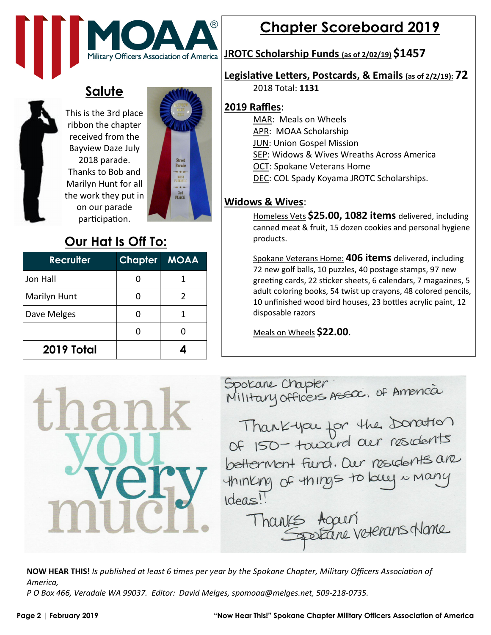

### **Salute**



This is the 3rd place ribbon the chapter received from the Bayview Daze July 2018 parade. Thanks to Bob and Marilyn Hunt for all the work they put in on our parade participation.



### **Our Hat Is Off To:**

| <b>Recruiter</b> | <b>Chapter MOAA</b> |   |
|------------------|---------------------|---|
| Jon Hall         |                     |   |
| Marilyn Hunt     |                     | 2 |
| Dave Melges      |                     |   |
|                  |                     |   |
| 2019 Total       |                     |   |



# **Chapter Scoreboard 2019**

#### **JROTC Scholarship Funds (as of 2/02/19) \$1457**

#### **Legislative Letters, Postcards, & Emails (as of 2/2/19): 72**

2018 Total: **1131** 

#### **2019 Raffles**:

- MAR: Meals on Wheels
- APR: MOAA Scholarship
- JUN: Union Gospel Mission
- SEP: Widows & Wives Wreaths Across America
- OCT: Spokane Veterans Home
- DEC: COL Spady Koyama JROTC Scholarships.

#### **Widows & Wives**:

Homeless Vets **\$25.00, 1082 items** delivered, including canned meat & fruit, 15 dozen cookies and personal hygiene products.

Spokane Veterans Home: **406 items** delivered, including 72 new golf balls, 10 puzzles, 40 postage stamps, 97 new greeting cards, 22 sticker sheets, 6 calendars, 7 magazines, 5 adult coloring books, 54 twist up crayons, 48 colored pencils, 10 unfinished wood bird houses, 23 bottles acrylic paint, 12 disposable razors

Meals on Wheels **\$22.00**.

Spokane Chapter:<br>Military officers Assac. of America Thank-you for the Donation betterment fund. Dur residents are thinking of things to bely in many Ideas! Thanks Again

**NOW HEAR THIS!** *Is published at least 6 times per year by the Spokane Chapter, Military Officers Association of America,* 

*P O Box 466, Veradale WA 99037. Editor: David Melges, spomoaa@melges.net, 509-218-0735.*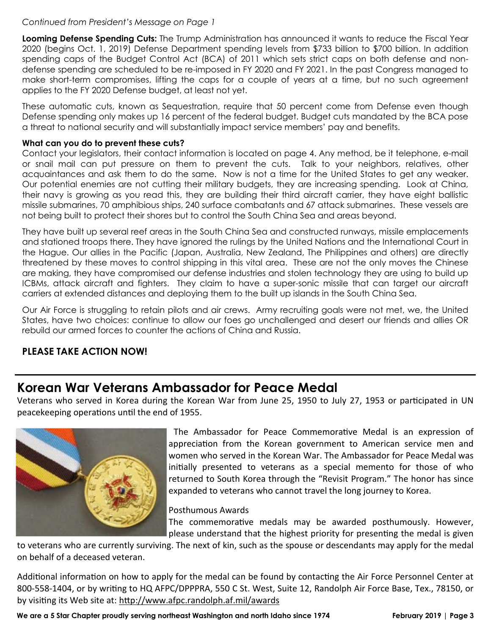#### *Continued from President's Message on Page 1*

**Looming Defense Spending Cuts:** The Trump Administration has announced it wants to reduce the Fiscal Year 2020 (begins Oct. 1, 2019) Defense Department spending levels from \$733 billion to \$700 billion. In addition spending caps of the Budget Control Act (BCA) of 2011 which sets strict caps on both defense and nondefense spending are scheduled to be re-imposed in FY 2020 and FY 2021. In the past Congress managed to make short-term compromises, lifting the caps for a couple of years at a time, but no such agreement applies to the FY 2020 Defense budget, at least not yet.

These automatic cuts, known as Sequestration, require that 50 percent come from Defense even though Defense spending only makes up 16 percent of the federal budget. Budget cuts mandated by the BCA pose a threat to national security and will substantially impact service members' pay and benefits.

#### **What can you do to prevent these cuts?**

Contact your legislators, their contact information is located on page 4. Any method, be it telephone, e-mail or snail mail can put pressure on them to prevent the cuts. Talk to your neighbors, relatives, other acquaintances and ask them to do the same. Now is not a time for the United States to get any weaker. Our potential enemies are not cutting their military budgets, they are increasing spending. Look at China, their navy is growing as you read this, they are building their third aircraft carrier, they have eight ballistic missile submarines, 70 amphibious ships, 240 surface combatants and 67 attack submarines. These vessels are not being built to protect their shores but to control the South China Sea and areas beyond.

They have built up several reef areas in the South China Sea and constructed runways, missile emplacements and stationed troops there. They have ignored the rulings by the United Nations and the International Court in the Hague. Our allies in the Pacific (Japan, Australia, New Zealand, The Philippines and others) are directly threatened by these moves to control shipping in this vital area. These are not the only moves the Chinese are making, they have compromised our defense industries and stolen technology they are using to build up ICBMs, attack aircraft and fighters. They claim to have a super-sonic missile that can target our aircraft carriers at extended distances and deploying them to the built up islands in the South China Sea.

Our Air Force is struggling to retain pilots and air crews. Army recruiting goals were not met, we, the United States, have two choices: continue to allow our foes go unchallenged and desert our friends and allies OR rebuild our armed forces to counter the actions of China and Russia.

#### **PLEASE TAKE ACTION NOW!**

#### **Korean War Veterans Ambassador for Peace Medal**

Veterans who served in Korea during the Korean War from June 25, 1950 to July 27, 1953 or participated in UN peacekeeping operations until the end of 1955.



The Ambassador for Peace Commemorative Medal is an expression of appreciation from the Korean government to American service men and women who served in the Korean War. The Ambassador for Peace Medal was initially presented to veterans as a special memento for those of who returned to South Korea through the "Revisit Program." The honor has since expanded to veterans who cannot travel the long journey to Korea.

Posthumous Awards

The commemorative medals may be awarded posthumously. However, please understand that the highest priority for presenting the medal is given

to veterans who are currently surviving. The next of kin, such as the spouse or descendants may apply for the medal on behalf of a deceased veteran.

Additional information on how to apply for the medal can be found by contacting the Air Force Personnel Center at 800-558-1404, or by writing to HQ AFPC/DPPPRA, 550 C St. West, Suite 12, Randolph Air Force Base, Tex., 78150, or by visiting its Web site at: http://www.afpc.randolph.af.mil/awards

We are a 5 Star Chapter proudly serving northeast Washington and north Idaho since 1974 **February 2019** | Page 3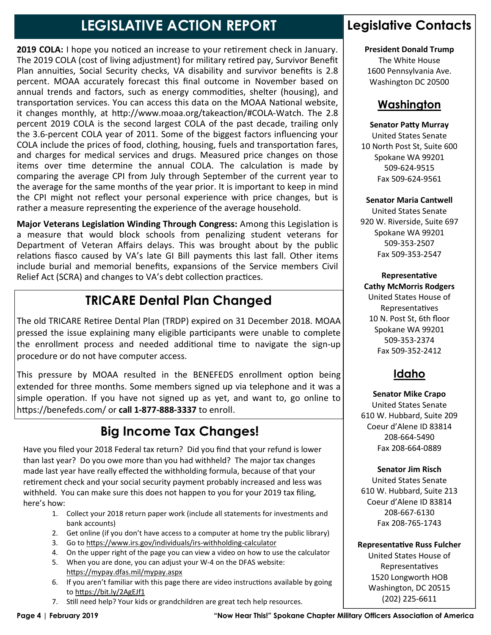## **LEGISLATIVE ACTION REPORT**

**2019 COLA:** I hope you noticed an increase to your retirement check in January. The 2019 COLA (cost of living adjustment) for military retired pay, Survivor Benefit Plan annuities, Social Security checks, VA disability and survivor benefits is 2.8 percent. MOAA accurately forecast this final outcome in November based on annual trends and factors, such as energy commodities, shelter (housing), and transportation services. You can access this data on the MOAA National website, it changes monthly, at http://www.moaa.org/takeaction/#COLA-Watch. The 2.8 percent 2019 COLA is the second largest COLA of the past decade, trailing only the 3.6-percent COLA year of 2011. Some of the biggest factors influencing your COLA include the prices of food, clothing, housing, fuels and transportation fares, and charges for medical services and drugs. Measured price changes on those items over time determine the annual COLA. The calculation is made by comparing the average CPI from July through September of the current year to the average for the same months of the year prior. It is important to keep in mind the CPI might not reflect your personal experience with price changes, but is rather a measure representing the experience of the average household.

**Major Veterans Legislation Winding Through Congress:** Among this Legislation is a measure that would block schools from penalizing student veterans for Department of Veteran Affairs delays. This was brought about by the public relations fiasco caused by VA's late GI Bill payments this last fall. Other items include burial and memorial benefits, expansions of the Service members Civil Relief Act (SCRA) and changes to VA's debt collection practices.

### **TRICARE Dental Plan Changed**

The old TRICARE Retiree Dental Plan (TRDP) expired on 31 December 2018. MOAA pressed the issue explaining many eligible participants were unable to complete the enrollment process and needed additional time to navigate the sign-up procedure or do not have computer access.

This pressure by MOAA resulted in the BENEFEDS enrollment option being extended for three months. Some members signed up via telephone and it was a simple operation. If you have not signed up as yet, and want to, go online to https://benefeds.com/ or call 1-877-888-3337 to enroll.

### **Big Income Tax Changes!**

Have you filed your 2018 Federal tax return? Did you find that your refund is lower than last year? Do you owe more than you had withheld? The major tax changes made last year have really effected the withholding formula, because of that your retirement check and your social security payment probably increased and less was withheld. You can make sure this does not happen to you for your 2019 tax filing, here's how:

- 1. Collect your 2018 return paper work (include all statements for investments and bank accounts)
- 2. Get online (if you don't have access to a computer at home try the public library)
- 3. Go to https://www.irs.gov/individuals/irs-withholding-calculator
- 4. On the upper right of the page you can view a video on how to use the calculator
- 5. When you are done, you can adjust your W-4 on the DFAS website: https://mypay.dfas.mil/mypay.aspx
- 6. If you aren't familiar with this page there are video instructions available by going to https://bit.ly/2AgEJf1
- 7. Still need help? Your kids or grandchildren are great tech help resources.

### **Legislative Contacts**

**President Donald Trump** 

The White House 1600 Pennsylvania Ave. Washington DC 20500

#### **Washington**

#### **Senator Patty Murray**

United States Senate 10 North Post St, Suite 600 Spokane WA 99201 509-624-9515 Fax 509-624-9561

**Senator Maria Cantwell** 

United States Senate 920 W. Riverside, Suite 697 Spokane WA 99201 509-353-2507 Fax 509-353-2547

**Representative Cathy McMorris Rodgers** United States House of Representatives 10 N. Post St, 6th floor Spokane WA 99201 509-353-2374

### **Idaho**

Fax 509-352-2412

**Senator Mike Crapo** United States Senate 610 W. Hubbard, Suite 209 Coeur d'Alene ID 83814 208-664-5490 Fax 208-664-0889

**Senator Jim Risch**  United States Senate 610 W. Hubbard, Suite 213

Coeur d'Alene ID 83814 208-667-6130 Fax 208-765-1743

**Representative Russ Fulcher** 

United States House of Representatives 1520 Longworth HOB Washington, DC 20515 (202) 225-6611

**Page 4 | February 2019 "Now Hear This!" Spokane Chapter Military Officers Association of America**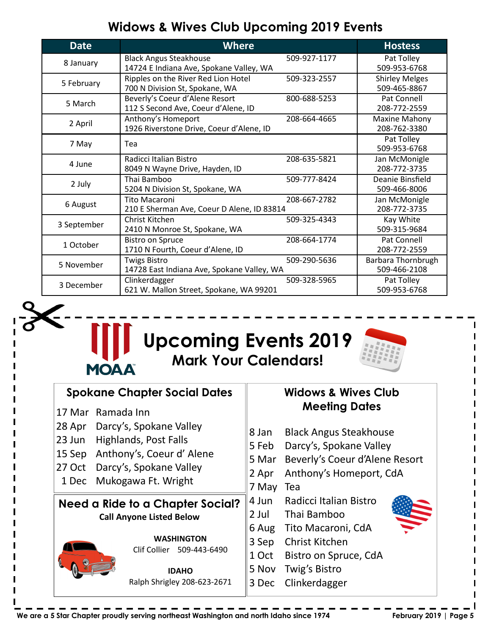### **Widows & Wives Club Upcoming 2019 Events**

| <b>Date</b> | <b>Where</b>                                                             |              | <b>Hostess</b>                        |
|-------------|--------------------------------------------------------------------------|--------------|---------------------------------------|
| 8 January   | <b>Black Angus Steakhouse</b><br>14724 E Indiana Ave, Spokane Valley, WA | 509-927-1177 | Pat Tolley<br>509-953-6768            |
| 5 February  | Ripples on the River Red Lion Hotel<br>700 N Division St, Spokane, WA    | 509-323-2557 | <b>Shirley Melges</b><br>509-465-8867 |
| 5 March     | Beverly's Coeur d'Alene Resort<br>112 S Second Ave, Coeur d'Alene, ID    | 800-688-5253 | Pat Connell<br>208-772-2559           |
| 2 April     | Anthony's Homeport<br>1926 Riverstone Drive, Coeur d'Alene, ID           | 208-664-4665 | Maxine Mahony<br>208-762-3380         |
| 7 May       | Tea                                                                      |              | Pat Tolley<br>509-953-6768            |
| 4 June      | Radicci Italian Bistro<br>8049 N Wayne Drive, Hayden, ID                 | 208-635-5821 | Jan McMonigle<br>208-772-3735         |
| 2 July      | Thai Bamboo<br>5204 N Division St, Spokane, WA                           | 509-777-8424 | Deanie Binsfield<br>509-466-8006      |
| 6 August    | <b>Tito Macaroni</b><br>210 E Sherman Ave, Coeur D Alene, ID 83814       | 208-667-2782 | Jan McMonigle<br>208-772-3735         |
| 3 September | Christ Kitchen<br>2410 N Monroe St, Spokane, WA                          | 509-325-4343 | Kay White<br>509-315-9684             |
| 1 October   | <b>Bistro on Spruce</b><br>1710 N Fourth, Coeur d'Alene, ID              | 208-664-1774 | Pat Connell<br>208-772-2559           |
| 5 November  | <b>Twigs Bistro</b><br>14728 East Indiana Ave, Spokane Valley, WA        | 509-290-5636 | Barbara Thornbrugh<br>509-466-2108    |
| 3 December  | Clinkerdagger<br>621 W. Mallon Street, Spokane, WA 99201                 | 509-328-5965 | Pat Tolley<br>509-953-6768            |





|                                                                    | <b>Spokane Chapter Social Dates</b>                                                                                            |                                           | <b>Widows &amp; Wives Club</b>                                                                                                                       |  |
|--------------------------------------------------------------------|--------------------------------------------------------------------------------------------------------------------------------|-------------------------------------------|------------------------------------------------------------------------------------------------------------------------------------------------------|--|
| 17 Mar Ramada Inn<br>28 Apr<br>23 Jun<br>15 Sep<br>27 Oct<br>1 Dec | Darcy's, Spokane Valley<br>Highlands, Post Falls<br>Anthony's, Coeur d'Alene<br>Darcy's, Spokane Valley<br>Mukogawa Ft. Wright | 8 Jan<br>5 Feb<br>5 Mar<br>2 Apr<br>7 May | <b>Meeting Dates</b><br><b>Black Angus Steakhouse</b><br>Darcy's, Spokane Valley<br>Beverly's Coeur d'Alene Resort<br>Anthony's Homeport, CdA<br>Tea |  |
|                                                                    | Need a Ride to a Chapter Social?<br><b>Call Anyone Listed Below</b><br><b>WASHINGTON</b><br>Clif Collier<br>509-443-6490       | 4 Jun<br>2 Jul<br>6 Aug<br>3 Sep<br>1 Oct | Radicci Italian Bistro<br>Thai Bamboo<br>Tito Macaroni, CdA<br><b>Christ Kitchen</b><br>Bistro on Spruce, CdA                                        |  |
|                                                                    | <b>IDAHO</b><br>Ralph Shrigley 208-623-2671                                                                                    | 5 Nov<br>3 Dec                            | Twig's Bistro<br>Clinkerdagger                                                                                                                       |  |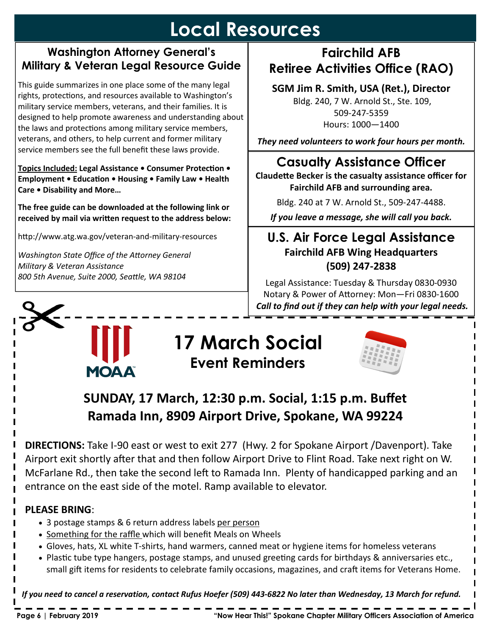# **Local Resources**

#### **Washington Attorney General's Military & Veteran Legal Resource Guide**

This guide summarizes in one place some of the many legal rights, protections, and resources available to Washington's military service members, veterans, and their families. It is designed to help promote awareness and understanding about the laws and protections among military service members, veterans, and others, to help current and former military service members see the full benefit these laws provide.

**Topics Included: Legal Assistance • Consumer Protection • Employment • Education • Housing • Family Law • Health Care • Disability and More…** 

**The free guide can be downloaded at the following link or**  received by mail via written request to the address below:

http://www.atg.wa.gov/veteran-and-military-resources

**Washington State Office of the Attorney General** *Military & Veteran Assistance 800 5th Avenue, Suite 2000, Sea5le, WA 98104* 

**MOAA** 

### **Fairchild AFB Retiree Activities Office (RAO)**

**SGM Jim R. Smith, USA (Ret.), Director** 

 Bldg. 240, 7 W. Arnold St., Ste. 109, 509-247-5359 Hours: 1000—1400

*They need volunteers to work four hours per month.* 

### **Casualty Assistance Officer**

**Claudette Becker is the casualty assistance officer for Fairchild AFB and surrounding area.** 

Bldg. 240 at 7 W. Arnold St., 509-247-4488.

*If you leave a message, she will call you back.* 

### **U.S. Air Force Legal Assistance Fairchild AFB Wing Headquarters (509) 247-2838**

Legal Assistance: Tuesday & Thursday 0830-0930 Notary & Power of Attorney: Mon-Fri 0830-1600  *Call to find out if they can help with your legal needs.* 

# **17 March Social Event Reminders**



**SUNDAY, 17 March, 12:30 p.m. Social, 1:15 p.m. Buffet Ramada Inn, 8909 Airport Drive, Spokane, WA 99224** 

**DIRECTIONS:** Take I-90 east or west to exit 277 (Hwy. 2 for Spokane Airport /Davenport). Take Airport exit shortly after that and then follow Airport Drive to Flint Road. Take next right on W. McFarlane Rd., then take the second left to Ramada Inn. Plenty of handicapped parking and an entrance on the east side of the motel. Ramp available to elevator.

#### **PLEASE BRING**:

- 3 postage stamps & 6 return address labels per person
- Something for the raffle which will benefit Meals on Wheels
- Gloves, hats, XL white T-shirts, hand warmers, canned meat or hygiene items for homeless veterans
- Plastic tube type hangers, postage stamps, and unused greeting cards for birthdays & anniversaries etc., small gift items for residents to celebrate family occasions, magazines, and craft items for Veterans Home.

*If you need to cancel a reservation, contact Rufus Hoefer (509) 443-6822 No later than Wednesday, 13 March for refund.*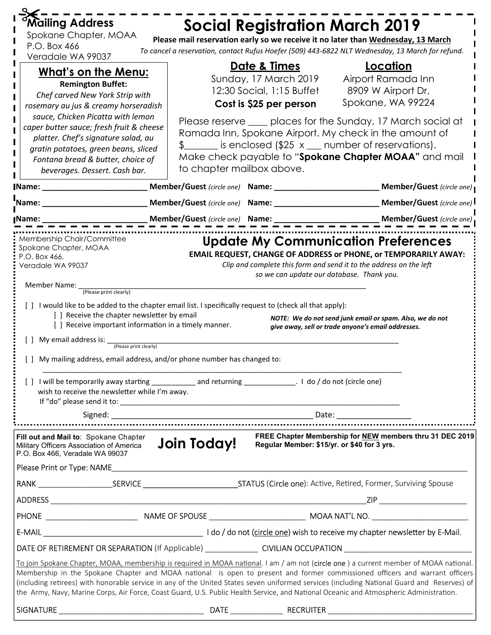| 'Mailing Address                                                                                                                                                                                                                                                                        | <b>Social Registration March 2019</b>                                                                                                                                                                                                                                                                                                                                                                                                                                                                                                                          |                                                                                                                |  |  |  |
|-----------------------------------------------------------------------------------------------------------------------------------------------------------------------------------------------------------------------------------------------------------------------------------------|----------------------------------------------------------------------------------------------------------------------------------------------------------------------------------------------------------------------------------------------------------------------------------------------------------------------------------------------------------------------------------------------------------------------------------------------------------------------------------------------------------------------------------------------------------------|----------------------------------------------------------------------------------------------------------------|--|--|--|
| Spokane Chapter, MOAA<br>P.O. Box 466                                                                                                                                                                                                                                                   | Please mail reservation early so we receive it no later than Wednesday, 13 March                                                                                                                                                                                                                                                                                                                                                                                                                                                                               |                                                                                                                |  |  |  |
| Veradale WA 99037                                                                                                                                                                                                                                                                       | To cancel a reservation, contact Rufus Hoefer (509) 443-6822 NLT Wednesday, 13 March for refund.                                                                                                                                                                                                                                                                                                                                                                                                                                                               |                                                                                                                |  |  |  |
|                                                                                                                                                                                                                                                                                         | Date & Times                                                                                                                                                                                                                                                                                                                                                                                                                                                                                                                                                   | Location                                                                                                       |  |  |  |
| <u>What's on the Menu:</u>                                                                                                                                                                                                                                                              | Sunday, 17 March 2019                                                                                                                                                                                                                                                                                                                                                                                                                                                                                                                                          | Airport Ramada Inn                                                                                             |  |  |  |
| <b>Remington Buffet:</b>                                                                                                                                                                                                                                                                | 12:30 Social, 1:15 Buffet                                                                                                                                                                                                                                                                                                                                                                                                                                                                                                                                      | 8909 W Airport Dr,                                                                                             |  |  |  |
| Chef carved New York Strip with<br>rosemary au jus & creamy horseradish                                                                                                                                                                                                                 | Cost is \$25 per person                                                                                                                                                                                                                                                                                                                                                                                                                                                                                                                                        | Spokane, WA 99224                                                                                              |  |  |  |
| sauce, Chicken Picatta with lemon                                                                                                                                                                                                                                                       |                                                                                                                                                                                                                                                                                                                                                                                                                                                                                                                                                                |                                                                                                                |  |  |  |
| caper butter sauce; fresh fruit & cheese                                                                                                                                                                                                                                                | Please reserve ____ places for the Sunday, 17 March social at                                                                                                                                                                                                                                                                                                                                                                                                                                                                                                  |                                                                                                                |  |  |  |
| platter. Chef's signature salad, au                                                                                                                                                                                                                                                     | Ramada Inn, Spokane Airport. My check in the amount of                                                                                                                                                                                                                                                                                                                                                                                                                                                                                                         |                                                                                                                |  |  |  |
| gratin potatoes, green beans, sliced                                                                                                                                                                                                                                                    | $\frac{1}{2}$ is enclosed (\$25 x $\equiv$ number of reservations).                                                                                                                                                                                                                                                                                                                                                                                                                                                                                            |                                                                                                                |  |  |  |
| Fontana bread & butter, choice of                                                                                                                                                                                                                                                       | Make check payable to "Spokane Chapter MOAA" and mail                                                                                                                                                                                                                                                                                                                                                                                                                                                                                                          |                                                                                                                |  |  |  |
| beverages. Dessert. Cash bar.                                                                                                                                                                                                                                                           | to chapter mailbox above.                                                                                                                                                                                                                                                                                                                                                                                                                                                                                                                                      |                                                                                                                |  |  |  |
| <b>Name:</b> Name:                                                                                                                                                                                                                                                                      | Member/Guest (circle one) Name: ___________________________Member/Guest (circle one)                                                                                                                                                                                                                                                                                                                                                                                                                                                                           |                                                                                                                |  |  |  |
| Mame:                                                                                                                                                                                                                                                                                   |                                                                                                                                                                                                                                                                                                                                                                                                                                                                                                                                                                | Member/Guest (circle one)                                                                                      |  |  |  |
|                                                                                                                                                                                                                                                                                         |                                                                                                                                                                                                                                                                                                                                                                                                                                                                                                                                                                |                                                                                                                |  |  |  |
| <b>I</b> Name:                                                                                                                                                                                                                                                                          | Member/Guest (circle one) Name: ___________________________________Member/Guest (circle one)                                                                                                                                                                                                                                                                                                                                                                                                                                                                   |                                                                                                                |  |  |  |
| Membership Chair/Committee<br><b>Update My Communication Preferences</b><br>Spokane Chapter, MOAA<br><b>EMAIL REQUEST, CHANGE OF ADDRESS or PHONE, or TEMPORARILY AWAY:</b><br>P.O. Box 466,<br>Clip and complete this form and send it to the address on the left<br>Veradale WA 99037 |                                                                                                                                                                                                                                                                                                                                                                                                                                                                                                                                                                |                                                                                                                |  |  |  |
|                                                                                                                                                                                                                                                                                         | so we can update our database. Thank you.                                                                                                                                                                                                                                                                                                                                                                                                                                                                                                                      |                                                                                                                |  |  |  |
| Member Name:<br>(Please print clearly)                                                                                                                                                                                                                                                  |                                                                                                                                                                                                                                                                                                                                                                                                                                                                                                                                                                |                                                                                                                |  |  |  |
|                                                                                                                                                                                                                                                                                         | [ ] I would like to be added to the chapter email list. I specifically request to (check all that apply):                                                                                                                                                                                                                                                                                                                                                                                                                                                      |                                                                                                                |  |  |  |
| [] Receive the chapter newsletter by email<br>[ ] Receive important information in a timely manner.                                                                                                                                                                                     |                                                                                                                                                                                                                                                                                                                                                                                                                                                                                                                                                                | NOTE: We do not send junk email or spam. Also, we do not<br>give away, sell or trade anyone's email addresses. |  |  |  |
| My email address is:                                                                                                                                                                                                                                                                    |                                                                                                                                                                                                                                                                                                                                                                                                                                                                                                                                                                |                                                                                                                |  |  |  |
| (Please print clearly)                                                                                                                                                                                                                                                                  |                                                                                                                                                                                                                                                                                                                                                                                                                                                                                                                                                                |                                                                                                                |  |  |  |
| [] My mailing address, email address, and/or phone number has changed to:                                                                                                                                                                                                               |                                                                                                                                                                                                                                                                                                                                                                                                                                                                                                                                                                |                                                                                                                |  |  |  |
| [] I will be temporarily away starting _______________ and returning _______________. I do / do not (circle one)<br>wish to receive the newsletter while I'm away.                                                                                                                      |                                                                                                                                                                                                                                                                                                                                                                                                                                                                                                                                                                |                                                                                                                |  |  |  |
|                                                                                                                                                                                                                                                                                         | Signed: Capital Contract of the Contract of the Contract of the Contract of the Contract of the Contract of the Contract of the Contract of the Contract of the Contract of the Contract of the Contract of the Contract of th                                                                                                                                                                                                                                                                                                                                 |                                                                                                                |  |  |  |
|                                                                                                                                                                                                                                                                                         |                                                                                                                                                                                                                                                                                                                                                                                                                                                                                                                                                                |                                                                                                                |  |  |  |
| FREE Chapter Membership for NEW members thru 31 DEC 2019<br>Fill out and Mail to: Spokane Chapter<br><b>Join Today!</b><br>Regular Member: \$15/yr. or \$40 for 3 yrs.<br>Military Officers Association of America<br>P.O. Box 466, Veradale WA 99037                                   |                                                                                                                                                                                                                                                                                                                                                                                                                                                                                                                                                                |                                                                                                                |  |  |  |
|                                                                                                                                                                                                                                                                                         |                                                                                                                                                                                                                                                                                                                                                                                                                                                                                                                                                                |                                                                                                                |  |  |  |
|                                                                                                                                                                                                                                                                                         |                                                                                                                                                                                                                                                                                                                                                                                                                                                                                                                                                                |                                                                                                                |  |  |  |
|                                                                                                                                                                                                                                                                                         |                                                                                                                                                                                                                                                                                                                                                                                                                                                                                                                                                                | ZIP __________________________                                                                                 |  |  |  |
|                                                                                                                                                                                                                                                                                         |                                                                                                                                                                                                                                                                                                                                                                                                                                                                                                                                                                |                                                                                                                |  |  |  |
|                                                                                                                                                                                                                                                                                         |                                                                                                                                                                                                                                                                                                                                                                                                                                                                                                                                                                |                                                                                                                |  |  |  |
|                                                                                                                                                                                                                                                                                         |                                                                                                                                                                                                                                                                                                                                                                                                                                                                                                                                                                |                                                                                                                |  |  |  |
|                                                                                                                                                                                                                                                                                         | DATE OF RETIREMENT OR SEPARATION (If Applicable) _________________CIVILIAN OCCUPATION ________________________                                                                                                                                                                                                                                                                                                                                                                                                                                                 |                                                                                                                |  |  |  |
|                                                                                                                                                                                                                                                                                         |                                                                                                                                                                                                                                                                                                                                                                                                                                                                                                                                                                |                                                                                                                |  |  |  |
|                                                                                                                                                                                                                                                                                         | To join Spokane Chapter, MOAA, membership is required in MOAA national. I am / am not (circle one) a current member of MOAA national.<br>Membership in the Spokane Chapter and MOAA national is open to present and former commissioned officers and warrant officers<br>(including retirees) with honorable service in any of the United States seven uniformed services (including National Guard and Reserves) of<br>the Army, Navy, Marine Corps, Air Force, Coast Guard, U.S. Public Health Service, and National Oceanic and Atmospheric Administration. |                                                                                                                |  |  |  |